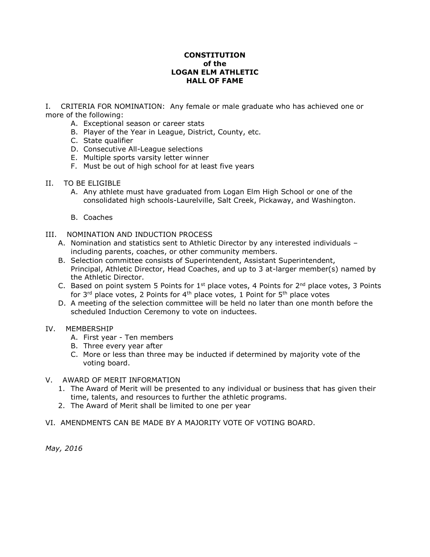## **CONSTITUTION of the LOGAN ELM ATHLETIC HALL OF FAME**

I. CRITERIA FOR NOMINATION: Any female or male graduate who has achieved one or more of the following:

- A. Exceptional season or career stats
- B. Player of the Year in League, District, County, etc.
- C. State qualifier
- D. Consecutive All-League selections
- E. Multiple sports varsity letter winner
- F. Must be out of high school for at least five years
- II. TO BE ELIGIBLE
	- A. Any athlete must have graduated from Logan Elm High School or one of the consolidated high schools-Laurelville, Salt Creek, Pickaway, and Washington.
	- B. Coaches
- III. NOMINATION AND INDUCTION PROCESS
	- A. Nomination and statistics sent to Athletic Director by any interested individuals including parents, coaches, or other community members.
	- B. Selection committee consists of Superintendent, Assistant Superintendent, Principal, Athletic Director, Head Coaches, and up to 3 at-larger member(s) named by the Athletic Director.
	- C. Based on point system 5 Points for  $1<sup>st</sup>$  place votes, 4 Points for  $2<sup>nd</sup>$  place votes, 3 Points for  $3^{rd}$  place votes, 2 Points for  $4^{th}$  place votes, 1 Point for  $5^{th}$  place votes
	- D. A meeting of the selection committee will be held no later than one month before the scheduled Induction Ceremony to vote on inductees.

### IV. MEMBERSHIP

- A. First year Ten members
- B. Three every year after
- C. More or less than three may be inducted if determined by majority vote of the voting board.

## V. AWARD OF MERIT INFORMATION

- 1. The Award of Merit will be presented to any individual or business that has given their time, talents, and resources to further the athletic programs.
- 2. The Award of Merit shall be limited to one per year
- VI. AMENDMENTS CAN BE MADE BY A MAJORITY VOTE OF VOTING BOARD.

*May, 2016*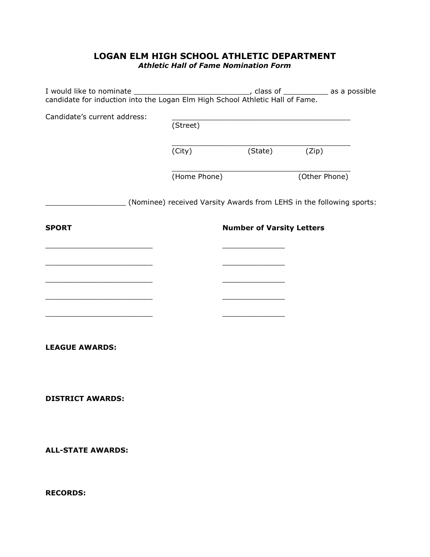# **LOGAN ELM HIGH SCHOOL ATHLETIC DEPARTMENT** *Athletic Hall of Fame Nomination Form*

| Candidate's current address: | (Street)                         |                                                                      |               |  |
|------------------------------|----------------------------------|----------------------------------------------------------------------|---------------|--|
|                              |                                  |                                                                      |               |  |
|                              | (City)                           | (State)                                                              | (Zip)         |  |
|                              | (Home Phone)                     |                                                                      | (Other Phone) |  |
|                              |                                  | (Nominee) received Varsity Awards from LEHS in the following sports: |               |  |
| <b>SPORT</b>                 | <b>Number of Varsity Letters</b> |                                                                      |               |  |
|                              |                                  |                                                                      |               |  |
|                              |                                  |                                                                      |               |  |
|                              |                                  |                                                                      |               |  |
|                              |                                  |                                                                      |               |  |
|                              |                                  |                                                                      |               |  |
| <b>LEAGUE AWARDS:</b>        |                                  |                                                                      |               |  |
|                              |                                  |                                                                      |               |  |
| <b>DISTRICT AWARDS:</b>      |                                  |                                                                      |               |  |
| <b>ALL-STATE AWARDS:</b>     |                                  |                                                                      |               |  |
| <b>RECORDS:</b>              |                                  |                                                                      |               |  |